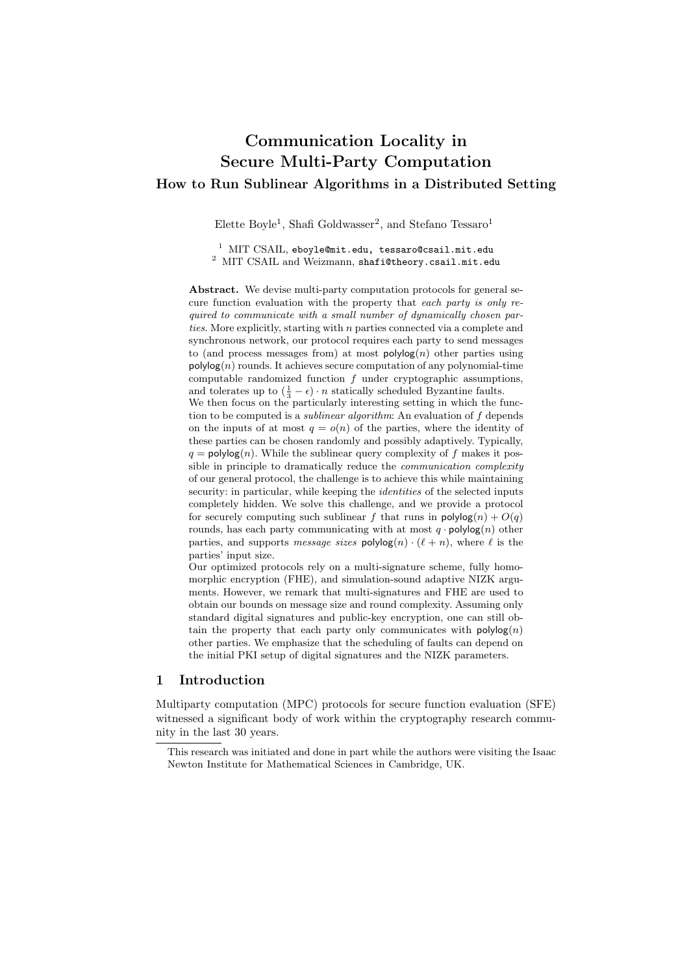# Communication Locality in Secure Multi-Party Computation How to Run Sublinear Algorithms in a Distributed Setting

Elette Boyle<sup>1</sup>, Shafi Goldwasser<sup>2</sup>, and Stefano Tessaro<sup>1</sup>

 $1$  MIT CSAIL, eboyle@mit.edu, tessaro@csail.mit.edu <sup>2</sup> MIT CSAIL and Weizmann, shafi@theory.csail.mit.edu

Abstract. We devise multi-party computation protocols for general secure function evaluation with the property that each party is only required to communicate with a small number of dynamically chosen parties. More explicitly, starting with n parties connected via a complete and synchronous network, our protocol requires each party to send messages to (and process messages from) at most  $polylog(n)$  other parties using  $polylog(n)$  rounds. It achieves secure computation of any polynomial-time computable randomized function  $f$  under cryptographic assumptions, and tolerates up to  $(\frac{1}{3} - \epsilon) \cdot n$  statically scheduled Byzantine faults.

We then focus on the particularly interesting setting in which the function to be computed is a sublinear algorithm: An evaluation of f depends on the inputs of at most  $q = o(n)$  of the parties, where the identity of these parties can be chosen randomly and possibly adaptively. Typically,  $q = \text{polylog}(n)$ . While the sublinear query complexity of f makes it possible in principle to dramatically reduce the communication complexity of our general protocol, the challenge is to achieve this while maintaining security: in particular, while keeping the *identities* of the selected inputs completely hidden. We solve this challenge, and we provide a protocol for securely computing such sublinear f that runs in  $polylog(n) + O(q)$ rounds, has each party communicating with at most  $q \cdot \text{polylog}(n)$  other parties, and supports message sizes  $\text{polylog}(n) \cdot (\ell + n)$ , where  $\ell$  is the parties' input size.

Our optimized protocols rely on a multi-signature scheme, fully homomorphic encryption (FHE), and simulation-sound adaptive NIZK arguments. However, we remark that multi-signatures and FHE are used to obtain our bounds on message size and round complexity. Assuming only standard digital signatures and public-key encryption, one can still obtain the property that each party only communicates with  $\text{polylog}(n)$ other parties. We emphasize that the scheduling of faults can depend on the initial PKI setup of digital signatures and the NIZK parameters.

# 1 Introduction

Multiparty computation (MPC) protocols for secure function evaluation (SFE) witnessed a significant body of work within the cryptography research community in the last 30 years.

This research was initiated and done in part while the authors were visiting the Isaac Newton Institute for Mathematical Sciences in Cambridge, UK.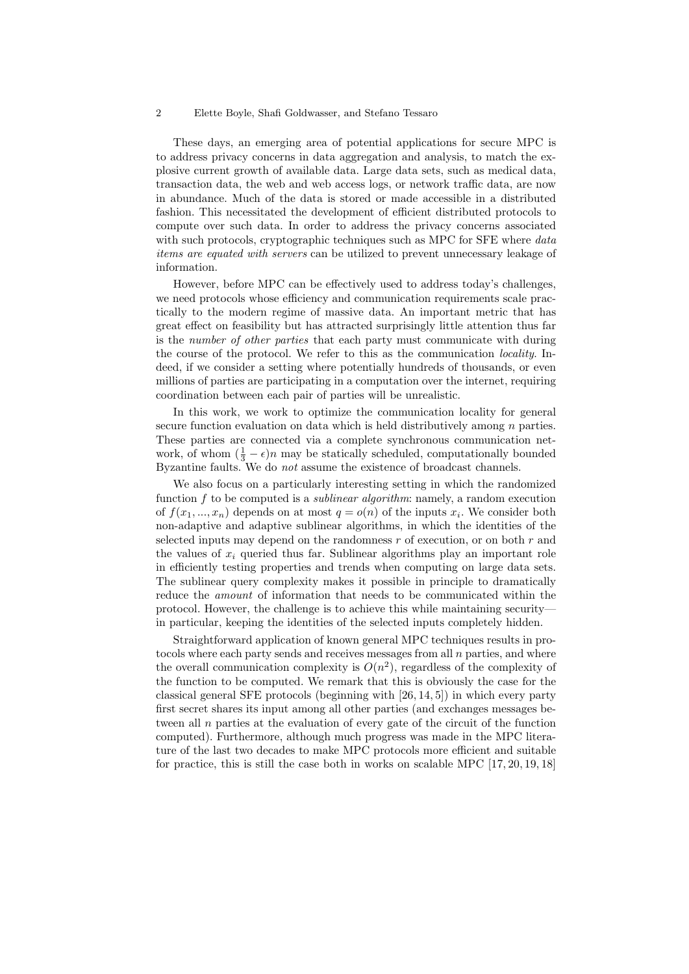These days, an emerging area of potential applications for secure MPC is to address privacy concerns in data aggregation and analysis, to match the explosive current growth of available data. Large data sets, such as medical data, transaction data, the web and web access logs, or network traffic data, are now in abundance. Much of the data is stored or made accessible in a distributed fashion. This necessitated the development of efficient distributed protocols to compute over such data. In order to address the privacy concerns associated with such protocols, cryptographic techniques such as MPC for SFE where *data* items are equated with servers can be utilized to prevent unnecessary leakage of information.

However, before MPC can be effectively used to address today's challenges, we need protocols whose efficiency and communication requirements scale practically to the modern regime of massive data. An important metric that has great effect on feasibility but has attracted surprisingly little attention thus far is the number of other parties that each party must communicate with during the course of the protocol. We refer to this as the communication locality. Indeed, if we consider a setting where potentially hundreds of thousands, or even millions of parties are participating in a computation over the internet, requiring coordination between each pair of parties will be unrealistic.

In this work, we work to optimize the communication locality for general secure function evaluation on data which is held distributively among  $n$  parties. These parties are connected via a complete synchronous communication network, of whom  $(\frac{1}{3} - \epsilon)n$  may be statically scheduled, computationally bounded Byzantine faults. We do not assume the existence of broadcast channels.

We also focus on a particularly interesting setting in which the randomized function  $f$  to be computed is a *sublinear algorithm*: namely, a random execution of  $f(x_1, ..., x_n)$  depends on at most  $q = o(n)$  of the inputs  $x_i$ . We consider both non-adaptive and adaptive sublinear algorithms, in which the identities of the selected inputs may depend on the randomness  $r$  of execution, or on both  $r$  and the values of  $x_i$  queried thus far. Sublinear algorithms play an important role in efficiently testing properties and trends when computing on large data sets. The sublinear query complexity makes it possible in principle to dramatically reduce the amount of information that needs to be communicated within the protocol. However, the challenge is to achieve this while maintaining security in particular, keeping the identities of the selected inputs completely hidden.

Straightforward application of known general MPC techniques results in protocols where each party sends and receives messages from all  $n$  parties, and where the overall communication complexity is  $O(n^2)$ , regardless of the complexity of the function to be computed. We remark that this is obviously the case for the classical general SFE protocols (beginning with [26, 14, 5]) in which every party first secret shares its input among all other parties (and exchanges messages between all  $n$  parties at the evaluation of every gate of the circuit of the function computed). Furthermore, although much progress was made in the MPC literature of the last two decades to make MPC protocols more efficient and suitable for practice, this is still the case both in works on scalable MPC [17, 20, 19, 18]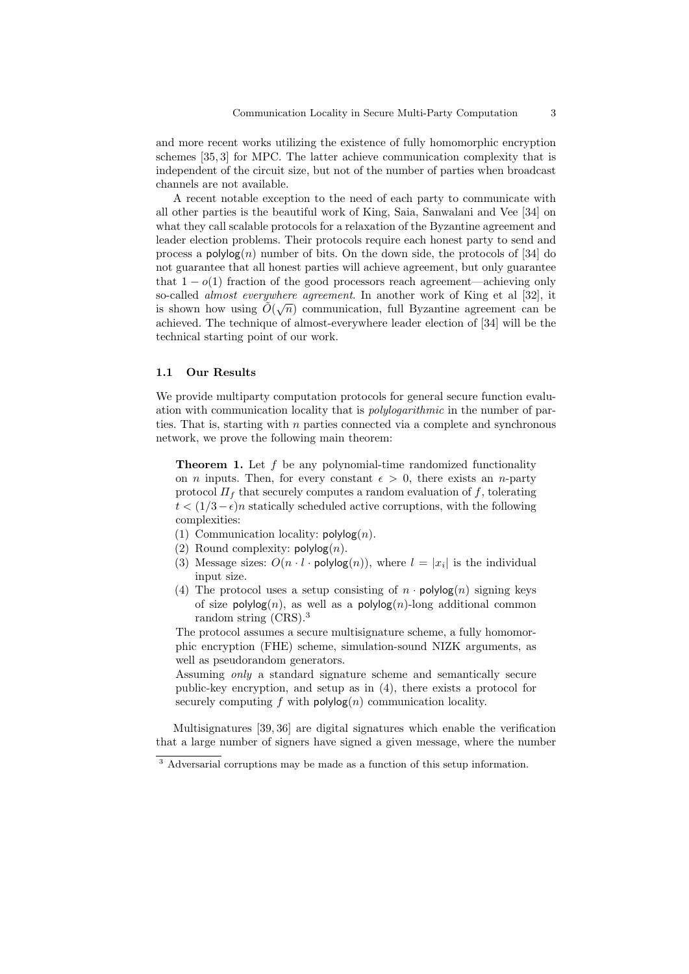and more recent works utilizing the existence of fully homomorphic encryption schemes [35, 3] for MPC. The latter achieve communication complexity that is independent of the circuit size, but not of the number of parties when broadcast channels are not available.

A recent notable exception to the need of each party to communicate with all other parties is the beautiful work of King, Saia, Sanwalani and Vee [34] on what they call scalable protocols for a relaxation of the Byzantine agreement and leader election problems. Their protocols require each honest party to send and process a  $polylog(n)$  number of bits. On the down side, the protocols of [34] do not guarantee that all honest parties will achieve agreement, but only guarantee that  $1 - o(1)$  fraction of the good processors reach agreement—achieving only so-called *almost everywhere agreement*. In another work of King et al [32], it is shown how using  $O(\sqrt{n})$  communication, full Byzantine agreement can be achieved. The technique of almost-everywhere leader election of [34] will be the technical starting point of our work.

## 1.1 Our Results

We provide multiparty computation protocols for general secure function evaluation with communication locality that is polylogarithmic in the number of parties. That is, starting with  $n$  parties connected via a complete and synchronous network, we prove the following main theorem:

**Theorem 1.** Let  $f$  be any polynomial-time randomized functionality on *n* inputs. Then, for every constant  $\epsilon > 0$ , there exists an *n*-party protocol  $\prod_f$  that securely computes a random evaluation of f, tolerating  $t < (1/3 - \epsilon)n$  statically scheduled active corruptions, with the following complexities:

- (1) Communication locality:  $\mathsf{polylog}(n)$ .
- (2) Round complexity:  $\mathsf{polylog}(n)$ .
- (3) Message sizes:  $O(n \cdot l \cdot \text{polylog}(n))$ , where  $l = |x_i|$  is the individual input size.
- (4) The protocol uses a setup consisting of  $n \cdot \text{polylog}(n)$  signing keys of size polylog $(n)$ , as well as a polylog $(n)$ -long additional common random string (CRS).<sup>3</sup>

The protocol assumes a secure multisignature scheme, a fully homomorphic encryption (FHE) scheme, simulation-sound NIZK arguments, as well as pseudorandom generators.

Assuming only a standard signature scheme and semantically secure public-key encryption, and setup as in (4), there exists a protocol for securely computing  $f$  with  $polylog(n)$  communication locality.

Multisignatures [39, 36] are digital signatures which enable the verification that a large number of signers have signed a given message, where the number

<sup>3</sup> Adversarial corruptions may be made as a function of this setup information.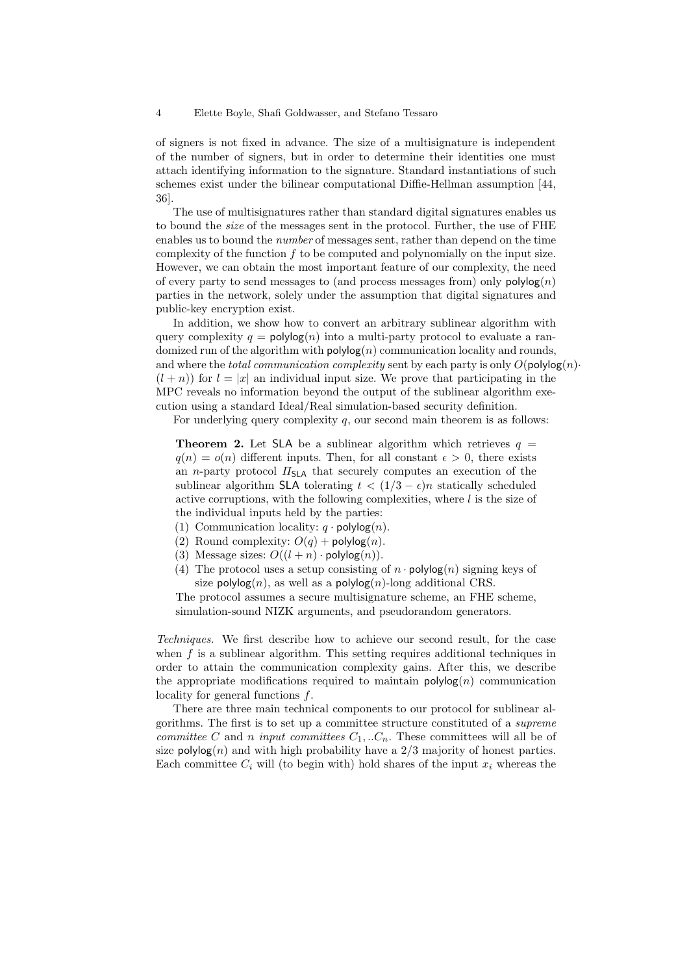of signers is not fixed in advance. The size of a multisignature is independent of the number of signers, but in order to determine their identities one must attach identifying information to the signature. Standard instantiations of such schemes exist under the bilinear computational Diffie-Hellman assumption [44, 36].

The use of multisignatures rather than standard digital signatures enables us to bound the size of the messages sent in the protocol. Further, the use of FHE enables us to bound the number of messages sent, rather than depend on the time complexity of the function  $f$  to be computed and polynomially on the input size. However, we can obtain the most important feature of our complexity, the need of every party to send messages to (and process messages from) only  $polylog(n)$ parties in the network, solely under the assumption that digital signatures and public-key encryption exist.

In addition, we show how to convert an arbitrary sublinear algorithm with query complexity  $q = \text{polylog}(n)$  into a multi-party protocol to evaluate a randomized run of the algorithm with  $\mathsf{polylog}(n)$  communication locality and rounds, and where the *total communication complexity* sent by each party is only  $O(polylog(n))$  $(l + n)$  for  $l = |x|$  an individual input size. We prove that participating in the MPC reveals no information beyond the output of the sublinear algorithm execution using a standard Ideal/Real simulation-based security definition.

For underlying query complexity  $q$ , our second main theorem is as follows:

**Theorem 2.** Let SLA be a sublinear algorithm which retrieves  $q =$  $q(n) = o(n)$  different inputs. Then, for all constant  $\epsilon > 0$ , there exists an *n*-party protocol  $\Pi$ <sub>SLA</sub> that securely computes an execution of the sublinear algorithm SLA tolerating  $t < (1/3 - \epsilon)n$  statically scheduled active corruptions, with the following complexities, where  $l$  is the size of the individual inputs held by the parties:

- (1) Communication locality:  $q \cdot \text{polylog}(n)$ .
- (2) Round complexity:  $O(q)$  + polylog(n).
- (3) Message sizes:  $O((l + n) \cdot \text{polylog}(n))$ .
- (4) The protocol uses a setup consisting of  $n \cdot \text{polylog}(n)$  signing keys of size polylog $(n)$ , as well as a polylog $(n)$ -long additional CRS.

The protocol assumes a secure multisignature scheme, an FHE scheme, simulation-sound NIZK arguments, and pseudorandom generators.

Techniques. We first describe how to achieve our second result, for the case when  $f$  is a sublinear algorithm. This setting requires additional techniques in order to attain the communication complexity gains. After this, we describe the appropriate modifications required to maintain  $polylog(n)$  communication locality for general functions  $f$ .

There are three main technical components to our protocol for sublinear algorithms. The first is to set up a committee structure constituted of a supreme committee C and n input committees  $C_1, ... C_n$ . These committees will all be of size  $\text{polylog}(n)$  and with high probability have a 2/3 majority of honest parties. Each committee  $C_i$  will (to begin with) hold shares of the input  $x_i$  whereas the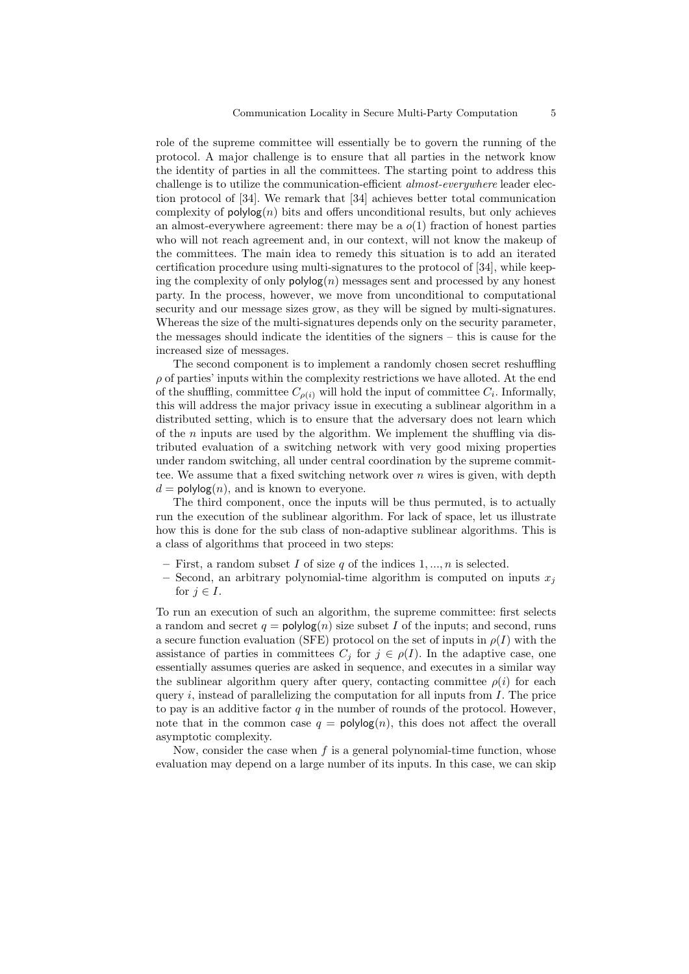role of the supreme committee will essentially be to govern the running of the protocol. A major challenge is to ensure that all parties in the network know the identity of parties in all the committees. The starting point to address this challenge is to utilize the communication-efficient *almost-everywhere* leader election protocol of [34]. We remark that [34] achieves better total communication complexity of  $polylog(n)$  bits and offers unconditional results, but only achieves an almost-everywhere agreement: there may be a  $o(1)$  fraction of honest parties who will not reach agreement and, in our context, will not know the makeup of the committees. The main idea to remedy this situation is to add an iterated certification procedure using multi-signatures to the protocol of [34], while keeping the complexity of only  $\mathsf{polylog}(n)$  messages sent and processed by any honest party. In the process, however, we move from unconditional to computational security and our message sizes grow, as they will be signed by multi-signatures. Whereas the size of the multi-signatures depends only on the security parameter, the messages should indicate the identities of the signers – this is cause for the increased size of messages.

The second component is to implement a randomly chosen secret reshuffling  $\rho$  of parties' inputs within the complexity restrictions we have alloted. At the end of the shuffling, committee  $C_{\rho(i)}$  will hold the input of committee  $C_i$ . Informally, this will address the major privacy issue in executing a sublinear algorithm in a distributed setting, which is to ensure that the adversary does not learn which of the  $n$  inputs are used by the algorithm. We implement the shuffling via distributed evaluation of a switching network with very good mixing properties under random switching, all under central coordination by the supreme committee. We assume that a fixed switching network over  $n$  wires is given, with depth  $d = \text{polylog}(n)$ , and is known to everyone.

The third component, once the inputs will be thus permuted, is to actually run the execution of the sublinear algorithm. For lack of space, let us illustrate how this is done for the sub class of non-adaptive sublinear algorithms. This is a class of algorithms that proceed in two steps:

- First, a random subset I of size q of the indices  $1, ..., n$  is selected.
- Second, an arbitrary polynomial-time algorithm is computed on inputs  $x_i$ for  $j \in I$ .

To run an execution of such an algorithm, the supreme committee: first selects a random and secret  $q = \text{polylog}(n)$  size subset I of the inputs; and second, runs a secure function evaluation (SFE) protocol on the set of inputs in  $\rho(I)$  with the assistance of parties in committees  $C_j$  for  $j \in \rho(I)$ . In the adaptive case, one essentially assumes queries are asked in sequence, and executes in a similar way the sublinear algorithm query after query, contacting committee  $\rho(i)$  for each query  $i$ , instead of parallelizing the computation for all inputs from  $I$ . The price to pay is an additive factor  $q$  in the number of rounds of the protocol. However, note that in the common case  $q = polylog(n)$ , this does not affect the overall asymptotic complexity.

Now, consider the case when  $f$  is a general polynomial-time function, whose evaluation may depend on a large number of its inputs. In this case, we can skip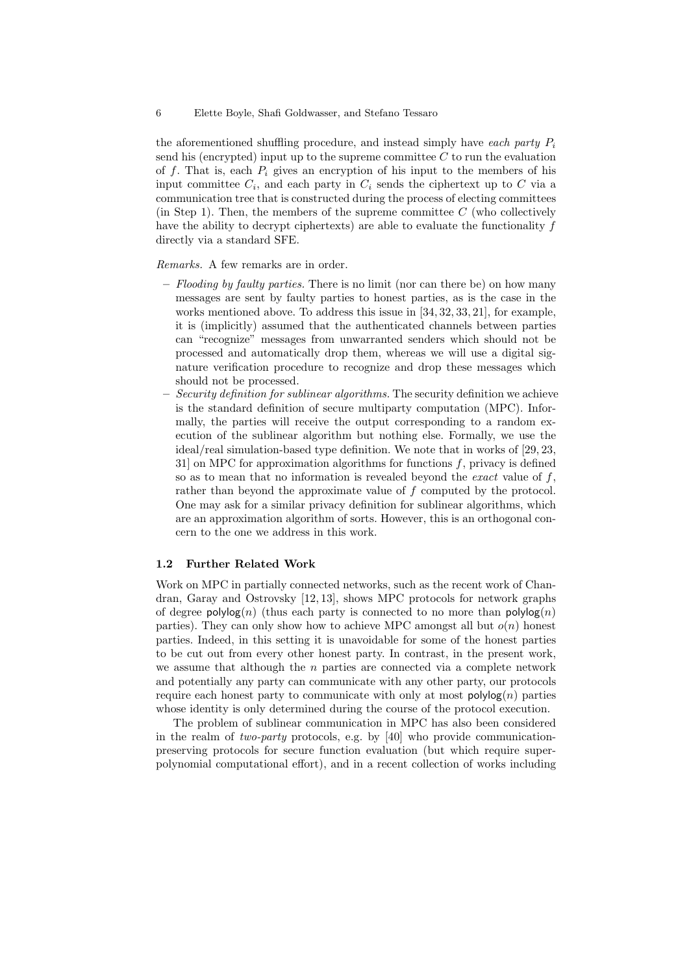the aforementioned shuffling procedure, and instead simply have each party  $P_i$ send his (encrypted) input up to the supreme committee  $C$  to run the evaluation of  $f$ . That is, each  $P_i$  gives an encryption of his input to the members of his input committee  $C_i$ , and each party in  $C_i$  sends the ciphertext up to C via a communication tree that is constructed during the process of electing committees (in Step 1). Then, the members of the supreme committee  $C$  (who collectively have the ability to decrypt ciphertexts) are able to evaluate the functionality  $f$ directly via a standard SFE.

Remarks. A few remarks are in order.

- Flooding by faulty parties. There is no limit (nor can there be) on how many messages are sent by faulty parties to honest parties, as is the case in the works mentioned above. To address this issue in [34, 32, 33, 21], for example, it is (implicitly) assumed that the authenticated channels between parties can "recognize" messages from unwarranted senders which should not be processed and automatically drop them, whereas we will use a digital signature verification procedure to recognize and drop these messages which should not be processed.
- $-$  Security definition for sublinear algorithms. The security definition we achieve is the standard definition of secure multiparty computation (MPC). Informally, the parties will receive the output corresponding to a random execution of the sublinear algorithm but nothing else. Formally, we use the ideal/real simulation-based type definition. We note that in works of [29, 23, 31] on MPC for approximation algorithms for functions  $f$ , privacy is defined so as to mean that no information is revealed beyond the *exact* value of  $f$ , rather than beyond the approximate value of f computed by the protocol. One may ask for a similar privacy definition for sublinear algorithms, which are an approximation algorithm of sorts. However, this is an orthogonal concern to the one we address in this work.

## 1.2 Further Related Work

Work on MPC in partially connected networks, such as the recent work of Chandran, Garay and Ostrovsky [12, 13], shows MPC protocols for network graphs of degree polylog(n) (thus each party is connected to no more than  $polylog(n)$ parties). They can only show how to achieve MPC amongst all but  $o(n)$  honest parties. Indeed, in this setting it is unavoidable for some of the honest parties to be cut out from every other honest party. In contrast, in the present work, we assume that although the  $n$  parties are connected via a complete network and potentially any party can communicate with any other party, our protocols require each honest party to communicate with only at most  $\mathsf{polylog}(n)$  parties whose identity is only determined during the course of the protocol execution.

The problem of sublinear communication in MPC has also been considered in the realm of two-party protocols, e.g. by [40] who provide communicationpreserving protocols for secure function evaluation (but which require superpolynomial computational effort), and in a recent collection of works including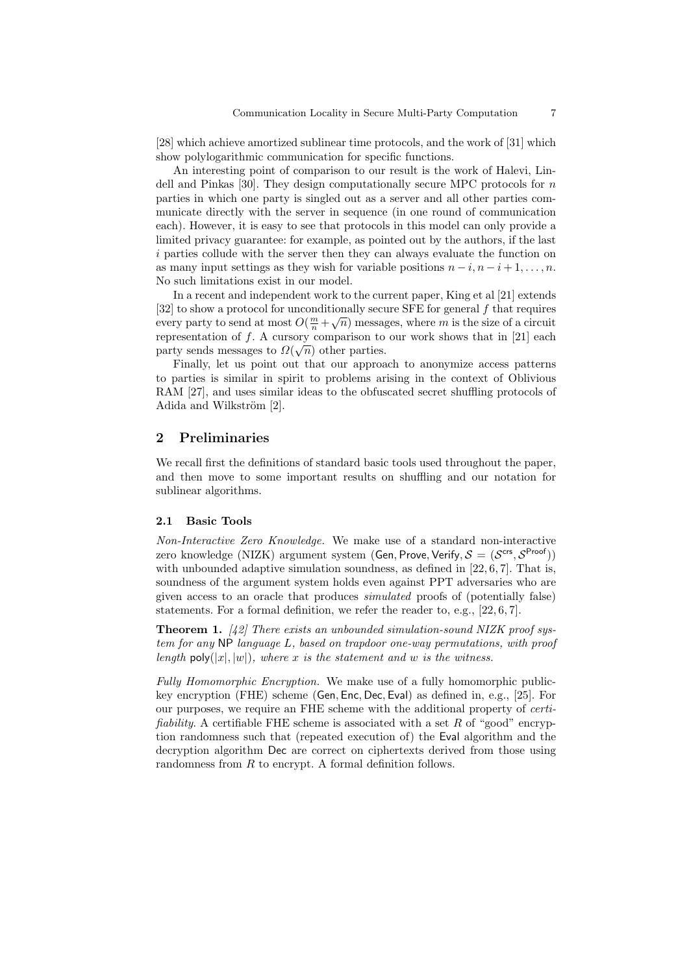[28] which achieve amortized sublinear time protocols, and the work of [31] which show polylogarithmic communication for specific functions.

An interesting point of comparison to our result is the work of Halevi, Lindell and Pinkas [30]. They design computationally secure MPC protocols for n parties in which one party is singled out as a server and all other parties communicate directly with the server in sequence (in one round of communication each). However, it is easy to see that protocols in this model can only provide a limited privacy guarantee: for example, as pointed out by the authors, if the last i parties collude with the server then they can always evaluate the function on as many input settings as they wish for variable positions  $n-i$ ,  $n-i+1$ , ..., n. No such limitations exist in our model.

In a recent and independent work to the current paper, King et al [21] extends [32] to show a protocol for unconditionally secure SFE for general f that requires every party to send at most  $O(\frac{m}{n} + \sqrt{n})$  messages, where m is the size of a circuit representation of f. A cursory comparison to our work shows that in [21] each party sends messages to  $\Omega(\sqrt{n})$  other parties.

Finally, let us point out that our approach to anonymize access patterns to parties is similar in spirit to problems arising in the context of Oblivious RAM [27], and uses similar ideas to the obfuscated secret shuffling protocols of Adida and Wilkström [2].

# 2 Preliminaries

We recall first the definitions of standard basic tools used throughout the paper, and then move to some important results on shuffling and our notation for sublinear algorithms.

### 2.1 Basic Tools

Non-Interactive Zero Knowledge. We make use of a standard non-interactive zero knowledge (NIZK) argument system (Gen, Prove, Verify,  $S = (\mathcal{S}^{\text{crs}}, \mathcal{S}^{\text{Proof}})$ ) with unbounded adaptive simulation soundness, as defined in [22, 6, 7]. That is, soundness of the argument system holds even against PPT adversaries who are given access to an oracle that produces simulated proofs of (potentially false) statements. For a formal definition, we refer the reader to, e.g., [22, 6, 7].

Theorem 1. [42] There exists an unbounded simulation-sound NIZK proof system for any NP language L, based on trapdoor one-way permutations, with proof length  $\mathsf{poly}(|x|, |w|)$ , where x is the statement and w is the witness.

Fully Homomorphic Encryption. We make use of a fully homomorphic publickey encryption (FHE) scheme (Gen, Enc, Dec, Eval) as defined in, e.g., [25]. For our purposes, we require an FHE scheme with the additional property of certifiability. A certifiable FHE scheme is associated with a set R of "good" encryption randomness such that (repeated execution of) the Eval algorithm and the decryption algorithm Dec are correct on ciphertexts derived from those using randomness from  $R$  to encrypt. A formal definition follows.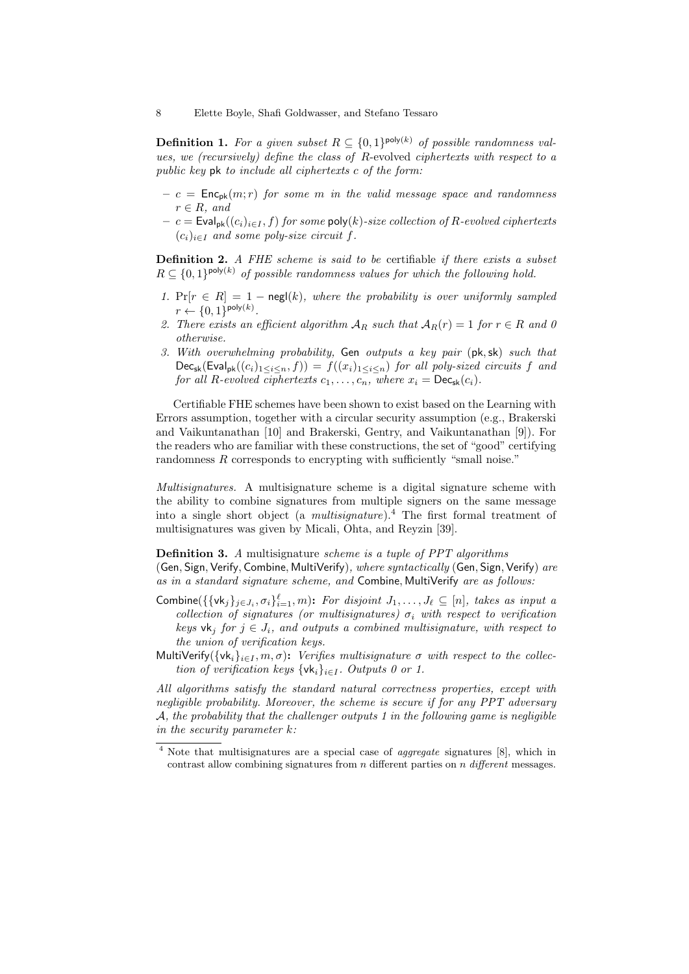**Definition 1.** For a given subset  $R \subseteq \{0,1\}^{\text{poly}(k)}$  of possible randomness values, we (recursively) define the class of R-evolved ciphertexts with respect to a public key pk to include all ciphertexts c of the form:

- $-c = Enc_{nk}(m;r)$  for some m in the valid message space and randomness  $r \in R$ , and
- $-c = \text{Eval}_{\text{pk}}((c_i)_{i \in I}, f)$  for some poly(k)-size collection of R-evolved ciphertexts  $(c_i)_{i\in I}$  and some poly-size circuit f.

Definition 2. A FHE scheme is said to be certifiable if there exists a subset  $R \subseteq \{0,1\}^{\text{poly}(k)}$  of possible randomness values for which the following hold.

- 1.  $Pr[r \in R] = 1 neg(k)$ , where the probability is over uniformly sampled  $r \leftarrow \{0, 1\}^{\mathsf{poly}(k)}.$
- 2. There exists an efficient algorithm  $A_R$  such that  $A_R(r) = 1$  for  $r \in R$  and 0 otherwise.
- 3. With overwhelming probability, Gen outputs a key pair (pk,sk) such that  $\mathsf{Dec}_{\mathsf{sk}}(\mathsf{Eval}_{\mathsf{pk}}((c_i)_{1\leq i\leq n}, f)) = f((x_i)_{1\leq i\leq n})$  for all poly-sized circuits f and for all R-evolved ciphertexts  $c_1, \ldots, c_n$ , where  $x_i = \textsf{Dec}_{\textsf{sk}}(c_i)$ .

Certifiable FHE schemes have been shown to exist based on the Learning with Errors assumption, together with a circular security assumption (e.g., Brakerski and Vaikuntanathan [10] and Brakerski, Gentry, and Vaikuntanathan [9]). For the readers who are familiar with these constructions, the set of "good" certifying randomness R corresponds to encrypting with sufficiently "small noise."

Multisignatures. A multisignature scheme is a digital signature scheme with the ability to combine signatures from multiple signers on the same message into a single short object (a multisignature).<sup>4</sup> The first formal treatment of multisignatures was given by Micali, Ohta, and Reyzin [39].

Definition 3. A multisignature scheme is a tuple of PPT algorithms (Gen, Sign, Verify, Combine, MultiVerify), where syntactically (Gen, Sign, Verify) are as in a standard signature scheme, and Combine, MultiVerify are as follows:

- Combine( $\{\{\mathsf{vk}_j\}_{j\in J_i}, \sigma_i\}_{i=1}^{\ell}, m$ ): For disjoint  $J_1, \ldots, J_{\ell} \subseteq [n]$ , takes as input a collection of signatures (or multisignatures)  $\sigma_i$  with respect to verification keys vk<sub>i</sub> for  $j \in J_i$ , and outputs a combined multisignature, with respect to the union of verification keys.
- MultiVerify( $\{vk_i\}_{i\in I}, m, \sigma$ ): Verifies multisignature  $\sigma$  with respect to the collection of verification keys  $\{vk_i\}_{i\in I}$ . Outputs 0 or 1.

All algorithms satisfy the standard natural correctness properties, except with negligible probability. Moreover, the scheme is secure if for any PPT adversary A, the probability that the challenger outputs 1 in the following game is negligible in the security parameter  $k$ :

<sup>&</sup>lt;sup>4</sup> Note that multisignatures are a special case of *aggregate* signatures [8], which in contrast allow combining signatures from  $n$  different parties on  $n$  different messages.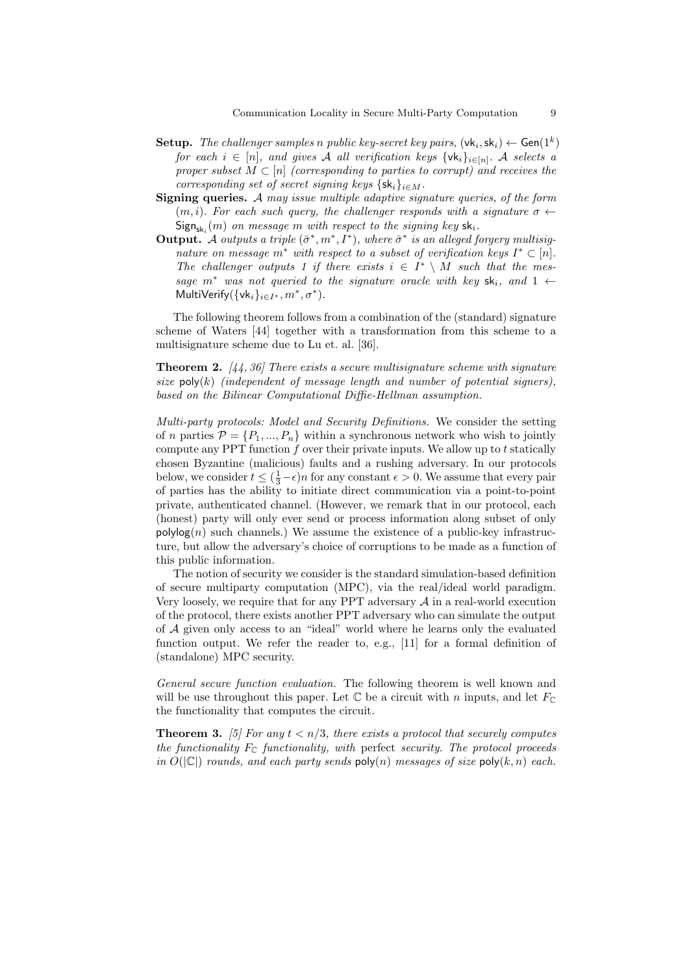- **Setup.** The challenger samples n public key-secret key pairs,  $(\mathsf{vk}_i, \mathsf{sk}_i) \leftarrow \mathsf{Gen}(1^k)$ for each  $i \in [n]$ , and gives A all verification keys  $\{ \mathsf{vk}_i \}_{i \in [n]}$ . A selects a proper subset  $M \subset [n]$  (corresponding to parties to corrupt) and receives the corresponding set of secret signing keys  $\{sk_i\}_{i\in M}$ .
- Signing queries. A may issue multiple adaptive signature queries, of the form  $(m, i)$ . For each such query, the challenger responds with a signature  $\sigma \leftarrow$  $\mathsf{Sign}_{\mathsf{sk}_i}(m)$  on message m with respect to the signing key  $\mathsf{sk}_i$ .
- **Output.** A outputs a triple  $(\bar{\sigma}^*, m^*, I^*)$ , where  $\bar{\sigma}^*$  is an alleged forgery multisignature on message  $m^*$  with respect to a subset of verification keys  $I^* \subset [n]$ . The challenger outputs 1 if there exists  $i \in I^* \setminus M$  such that the message  $m^*$  was not queried to the signature oracle with key  $sk_i$ , and  $1 \leftarrow$ MultiVerify $({\mathsf{w}}_i\}_{i\in I^*}, m^*, \sigma^*).$

The following theorem follows from a combination of the (standard) signature scheme of Waters [44] together with a transformation from this scheme to a multisignature scheme due to Lu et. al. [36].

**Theorem 2.** [44, 36] There exists a secure multisignature scheme with signature size  $\mathsf{poly}(k)$  (independent of message length and number of potential signers), based on the Bilinear Computational Diffie-Hellman assumption.

Multi-party protocols: Model and Security Definitions. We consider the setting of n parties  $P = \{P_1, ..., P_n\}$  within a synchronous network who wish to jointly compute any PPT function  $f$  over their private inputs. We allow up to  $t$  statically chosen Byzantine (malicious) faults and a rushing adversary. In our protocols below, we consider  $t \leq (\frac{1}{3} - \epsilon)n$  for any constant  $\epsilon > 0$ . We assume that every pair of parties has the ability to initiate direct communication via a point-to-point private, authenticated channel. (However, we remark that in our protocol, each (honest) party will only ever send or process information along subset of only  $\mathsf{polylog}(n)$  such channels.) We assume the existence of a public-key infrastructure, but allow the adversary's choice of corruptions to be made as a function of this public information.

The notion of security we consider is the standard simulation-based definition of secure multiparty computation (MPC), via the real/ideal world paradigm. Very loosely, we require that for any PPT adversary  $A$  in a real-world execution of the protocol, there exists another PPT adversary who can simulate the output of A given only access to an "ideal" world where he learns only the evaluated function output. We refer the reader to, e.g., [11] for a formal definition of (standalone) MPC security.

General secure function evaluation. The following theorem is well known and will be use throughout this paper. Let  $\mathbb C$  be a circuit with n inputs, and let  $F_{\mathbb C}$ the functionality that computes the circuit.

**Theorem 3.** [5] For any  $t < n/3$ , there exists a protocol that securely computes the functionality  $F_{\mathbb{C}}$  functionality, with perfect security. The protocol proceeds in  $O(|\mathbb{C}|)$  rounds, and each party sends  $\mathsf{poly}(n)$  messages of size  $\mathsf{poly}(k,n)$  each.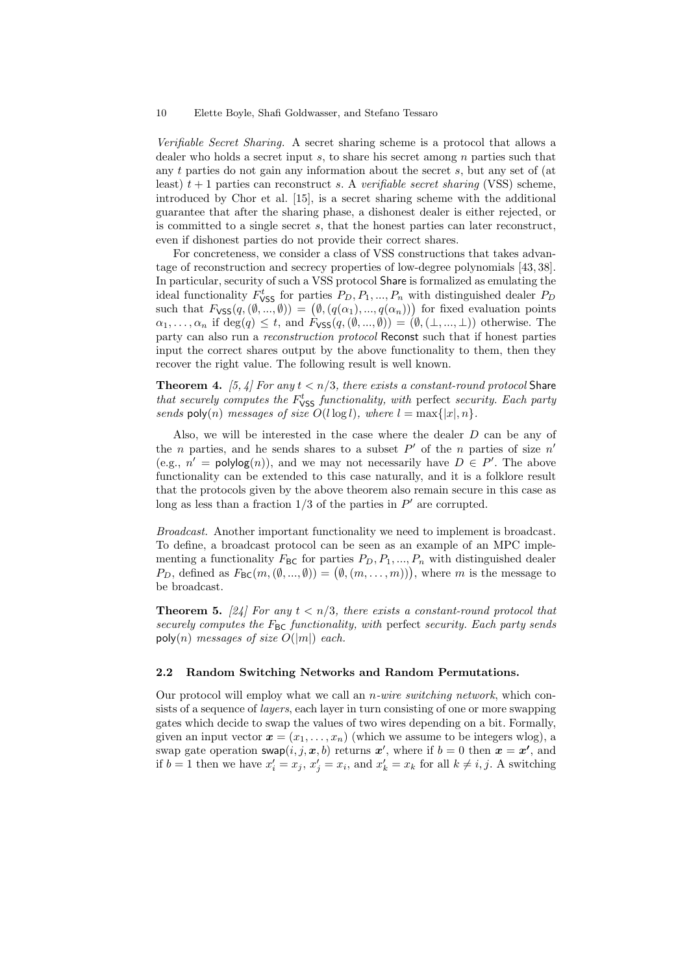Verifiable Secret Sharing. A secret sharing scheme is a protocol that allows a dealer who holds a secret input  $s$ , to share his secret among  $n$  parties such that any t parties do not gain any information about the secret s, but any set of (at least)  $t + 1$  parties can reconstruct s. A verifiable secret sharing (VSS) scheme, introduced by Chor et al. [15], is a secret sharing scheme with the additional guarantee that after the sharing phase, a dishonest dealer is either rejected, or is committed to a single secret  $s$ , that the honest parties can later reconstruct, even if dishonest parties do not provide their correct shares.

For concreteness, we consider a class of VSS constructions that takes advantage of reconstruction and secrecy properties of low-degree polynomials [43, 38]. In particular, security of such a VSS protocol Share is formalized as emulating the ideal functionality  $F_{\text{VSS}}^t$  for parties  $P_D, P_1, ..., P_n$  with distinguished dealer  $P_D$ such that  $F_{VSS}(q,(\emptyset, ..., \emptyset)) = (\emptyset, (q(\alpha_1), ..., q(\alpha_n)))$  for fixed evaluation points  $\alpha_1, \ldots, \alpha_n$  if  $\deg(q) \leq t$ , and  $F_{\mathsf{VSS}}(q, (\emptyset, ..., \emptyset)) = (\emptyset, (\perp, ..., \perp))$  otherwise. The party can also run a reconstruction protocol Reconst such that if honest parties input the correct shares output by the above functionality to them, then they recover the right value. The following result is well known.

**Theorem 4.** [5, 4] For any  $t < n/3$ , there exists a constant-round protocol Share that securely computes the  $F_{VSS}^t$  functionality, with perfect security. Each party sends poly(n) messages of size  $O(l \log l)$ , where  $l = \max\{|x|, n\}$ .

Also, we will be interested in the case where the dealer  $D$  can be any of the *n* parties, and he sends shares to a subset  $P'$  of the *n* parties of size  $n'$ (e.g.,  $n' = \text{polylog}(n)$ ), and we may not necessarily have  $D \in P'$ . The above functionality can be extended to this case naturally, and it is a folklore result that the protocols given by the above theorem also remain secure in this case as long as less than a fraction  $1/3$  of the parties in  $P'$  are corrupted.

Broadcast. Another important functionality we need to implement is broadcast. To define, a broadcast protocol can be seen as an example of an MPC implementing a functionality  $F_{BC}$  for parties  $P_D, P_1, ..., P_n$  with distinguished dealer  $P_D$ , defined as  $F_{BC}(m, (\emptyset, ..., \emptyset)) = (\emptyset, (m, ..., m))$ , where m is the message to be broadcast.

**Theorem 5.** [24] For any  $t < n/3$ , there exists a constant-round protocol that securely computes the  $F_{BC}$  functionality, with perfect security. Each party sends poly(n) messages of size  $O(|m|)$  each.

## 2.2 Random Switching Networks and Random Permutations.

Our protocol will employ what we call an  $n$ -wire switching network, which consists of a sequence of *layers*, each layer in turn consisting of one or more swapping gates which decide to swap the values of two wires depending on a bit. Formally, given an input vector  $\mathbf{x} = (x_1, \ldots, x_n)$  (which we assume to be integers wlog), a swap gate operation  $\textsf{swap}(i, j, x, b)$  returns  $x'$ , where if  $b = 0$  then  $x = x'$ , and if  $b = 1$  then we have  $x'_i = x_j$ ,  $x'_j = x_i$ , and  $x'_k = x_k$  for all  $k \neq i, j$ . A switching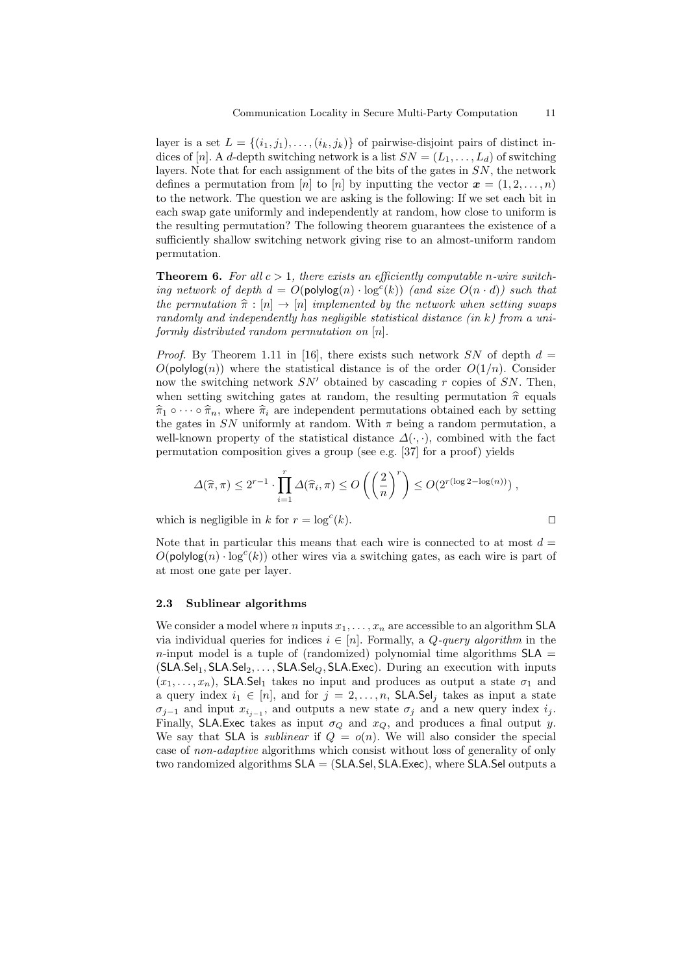layer is a set  $L = \{(i_1, j_1), \ldots, (i_k, j_k)\}\$  of pairwise-disjoint pairs of distinct indices of [n]. A d-depth switching network is a list  $SN = (L_1, \ldots, L_d)$  of switching layers. Note that for each assignment of the bits of the gates in SN, the network defines a permutation from [n] to [n] by inputting the vector  $\mathbf{x} = (1, 2, \ldots, n)$ to the network. The question we are asking is the following: If we set each bit in each swap gate uniformly and independently at random, how close to uniform is the resulting permutation? The following theorem guarantees the existence of a sufficiently shallow switching network giving rise to an almost-uniform random permutation.

**Theorem 6.** For all  $c > 1$ , there exists an efficiently computable n-wire switching network of depth  $d = O(\text{polylog}(n) \cdot \log^{c}(k))$  (and size  $O(n \cdot d)$ ) such that the permutation  $\hat{\pi} : [n] \rightarrow [n]$  implemented by the network when setting swaps randomly and independently has negligible statistical distance (in k) from a uniformly distributed random permutation on [n].

*Proof.* By Theorem 1.11 in [16], there exists such network SN of depth  $d =$  $O(\text{polylog}(n))$  where the statistical distance is of the order  $O(1/n)$ . Consider now the switching network  $SN'$  obtained by cascading r copies of SN. Then, when setting switching gates at random, the resulting permutation  $\hat{\pi}$  equals  $\hat{\pi}_1 \circ \cdots \circ \hat{\pi}_n$ , where  $\hat{\pi}_i$  are independent permutations obtained each by setting the gates in SN uniformly at random. With  $\pi$  being a random permutation, a well-known property of the statistical distance  $\Delta(\cdot,\cdot)$ , combined with the fact permutation composition gives a group (see e.g. [37] for a proof) yields

$$
\Delta(\widehat{\pi}, \pi) \le 2^{r-1} \cdot \prod_{i=1}^r \Delta(\widehat{\pi}_i, \pi) \le O\left(\left(\frac{2}{n}\right)^r\right) \le O(2^{r(\log 2 - \log(n))}),
$$

which is negligible in k for  $r = \log^{c}(k)$ .  $(k)$ .

Note that in particular this means that each wire is connected to at most  $d =$  $O(\text{polylog}(n) \cdot \log^c(k))$  other wires via a switching gates, as each wire is part of at most one gate per layer.

#### 2.3 Sublinear algorithms

We consider a model where n inputs  $x_1, \ldots, x_n$  are accessible to an algorithm SLA via individual queries for indices  $i \in [n]$ . Formally, a *Q*-query algorithm in the  $n$ -input model is a tuple of (randomized) polynomial time algorithms  $SLA$  $(SLA.Sel<sub>1</sub>, SLA.Sel<sub>2</sub>, ..., SLA.Sel<sub>Q</sub>, SLA.Evec).$  During an execution with inputs  $(x_1, \ldots, x_n)$ , SLA.Sel<sub>1</sub> takes no input and produces as output a state  $\sigma_1$  and a query index  $i_1 \in [n]$ , and for  $j = 2, \ldots, n$ , SLA.Sel<sub>j</sub> takes as input a state  $\sigma_{j-1}$  and input  $x_{i_{j-1}}$ , and outputs a new state  $\sigma_j$  and a new query index  $i_j$ . Finally, SLA. Exec takes as input  $\sigma_Q$  and  $x_Q$ , and produces a final output y. We say that SLA is *sublinear* if  $Q = o(n)$ . We will also consider the special case of non-adaptive algorithms which consist without loss of generality of only two randomized algorithms  $SLA = (SLA.Sel, SLA.Exec)$ , where  $SLA.Sel$  outputs a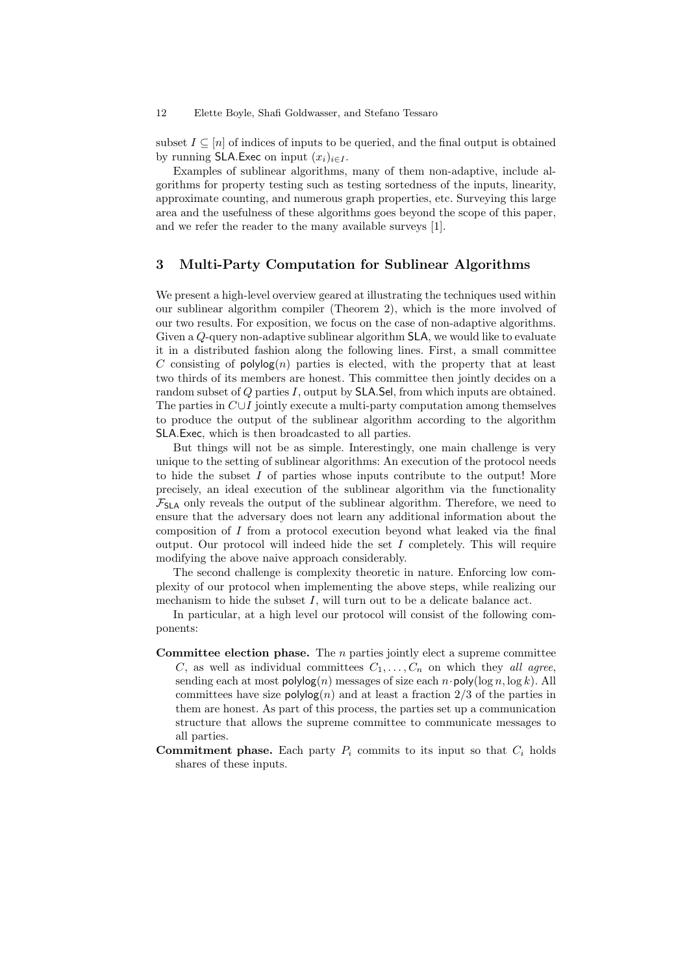subset  $I \subseteq [n]$  of indices of inputs to be queried, and the final output is obtained by running SLA.Exec on input  $(x_i)_{i\in I}$ .

Examples of sublinear algorithms, many of them non-adaptive, include algorithms for property testing such as testing sortedness of the inputs, linearity, approximate counting, and numerous graph properties, etc. Surveying this large area and the usefulness of these algorithms goes beyond the scope of this paper, and we refer the reader to the many available surveys [1].

# 3 Multi-Party Computation for Sublinear Algorithms

We present a high-level overview geared at illustrating the techniques used within our sublinear algorithm compiler (Theorem 2), which is the more involved of our two results. For exposition, we focus on the case of non-adaptive algorithms. Given a Q-query non-adaptive sublinear algorithm SLA, we would like to evaluate it in a distributed fashion along the following lines. First, a small committee C consisting of  $polylog(n)$  parties is elected, with the property that at least two thirds of its members are honest. This committee then jointly decides on a random subset of  $Q$  parties  $I$ , output by **SLA.Sel**, from which inputs are obtained. The parties in  $C\cup I$  jointly execute a multi-party computation among themselves to produce the output of the sublinear algorithm according to the algorithm SLA.Exec, which is then broadcasted to all parties.

But things will not be as simple. Interestingly, one main challenge is very unique to the setting of sublinear algorithms: An execution of the protocol needs to hide the subset I of parties whose inputs contribute to the output! More precisely, an ideal execution of the sublinear algorithm via the functionality  $\mathcal{F}_{\text{SIA}}$  only reveals the output of the sublinear algorithm. Therefore, we need to ensure that the adversary does not learn any additional information about the composition of I from a protocol execution beyond what leaked via the final output. Our protocol will indeed hide the set  $I$  completely. This will require modifying the above naive approach considerably.

The second challenge is complexity theoretic in nature. Enforcing low complexity of our protocol when implementing the above steps, while realizing our mechanism to hide the subset  $I$ , will turn out to be a delicate balance act.

In particular, at a high level our protocol will consist of the following components:

- **Committee election phase.** The  $n$  parties jointly elect a supreme committee C, as well as individual committees  $C_1, \ldots, C_n$  on which they all agree, sending each at most  $\text{polylog}(n)$  messages of size each  $n \cdot \text{poly}(\log n, \log k)$ . All committees have size  $\mathsf{polylog}(n)$  and at least a fraction 2/3 of the parties in them are honest. As part of this process, the parties set up a communication structure that allows the supreme committee to communicate messages to all parties.
- **Commitment phase.** Each party  $P_i$  commits to its input so that  $C_i$  holds shares of these inputs.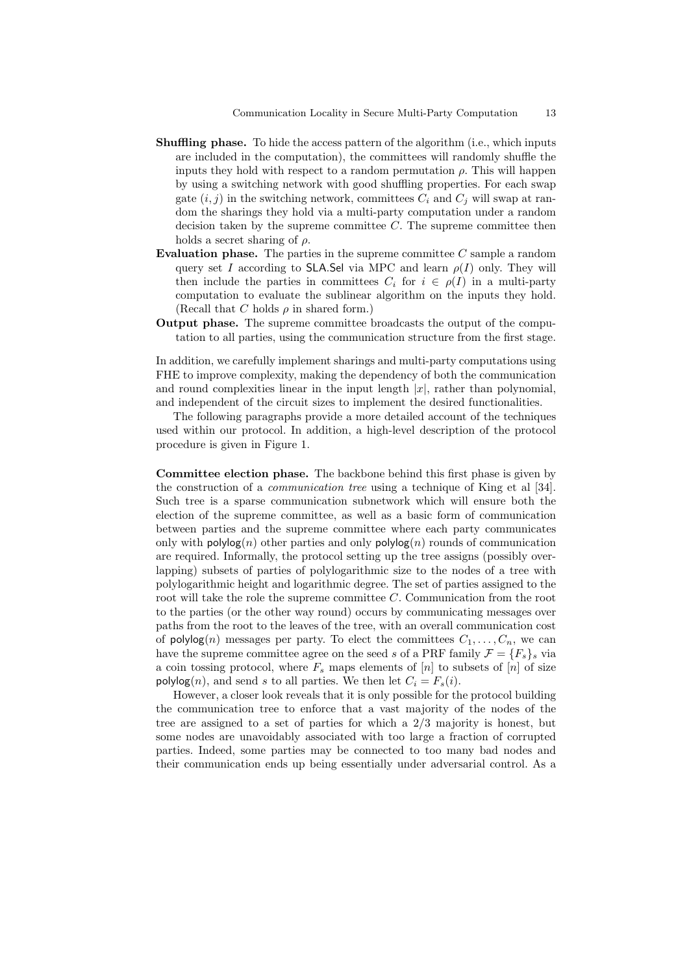- Shuffling phase. To hide the access pattern of the algorithm (i.e., which inputs are included in the computation), the committees will randomly shuffle the inputs they hold with respect to a random permutation  $\rho$ . This will happen by using a switching network with good shuffling properties. For each swap gate  $(i, j)$  in the switching network, committees  $C_i$  and  $C_j$  will swap at random the sharings they hold via a multi-party computation under a random decision taken by the supreme committee  $C$ . The supreme committee then holds a secret sharing of  $\rho$ .
- Evaluation phase. The parties in the supreme committee  $C$  sample a random query set I according to SLA.Sel via MPC and learn  $\rho(I)$  only. They will then include the parties in committees  $C_i$  for  $i \in \rho(I)$  in a multi-party computation to evaluate the sublinear algorithm on the inputs they hold. (Recall that C holds  $\rho$  in shared form.)
- Output phase. The supreme committee broadcasts the output of the computation to all parties, using the communication structure from the first stage.

In addition, we carefully implement sharings and multi-party computations using FHE to improve complexity, making the dependency of both the communication and round complexities linear in the input length  $|x|$ , rather than polynomial, and independent of the circuit sizes to implement the desired functionalities.

The following paragraphs provide a more detailed account of the techniques used within our protocol. In addition, a high-level description of the protocol procedure is given in Figure 1.

Committee election phase. The backbone behind this first phase is given by the construction of a communication tree using a technique of King et al [34]. Such tree is a sparse communication subnetwork which will ensure both the election of the supreme committee, as well as a basic form of communication between parties and the supreme committee where each party communicates only with  $\mathsf{polylog}(n)$  other parties and only  $\mathsf{polylog}(n)$  rounds of communication are required. Informally, the protocol setting up the tree assigns (possibly overlapping) subsets of parties of polylogarithmic size to the nodes of a tree with polylogarithmic height and logarithmic degree. The set of parties assigned to the root will take the role the supreme committee C. Communication from the root to the parties (or the other way round) occurs by communicating messages over paths from the root to the leaves of the tree, with an overall communication cost of polylog(n) messages per party. To elect the committees  $C_1, \ldots, C_n$ , we can have the supreme committee agree on the seed s of a PRF family  $\mathcal{F} = \{F_s\}_s$  via a coin tossing protocol, where  $F_s$  maps elements of [n] to subsets of [n] of size polylog(n), and send s to all parties. We then let  $C_i = F_s(i)$ .

However, a closer look reveals that it is only possible for the protocol building the communication tree to enforce that a vast majority of the nodes of the tree are assigned to a set of parties for which a 2/3 majority is honest, but some nodes are unavoidably associated with too large a fraction of corrupted parties. Indeed, some parties may be connected to too many bad nodes and their communication ends up being essentially under adversarial control. As a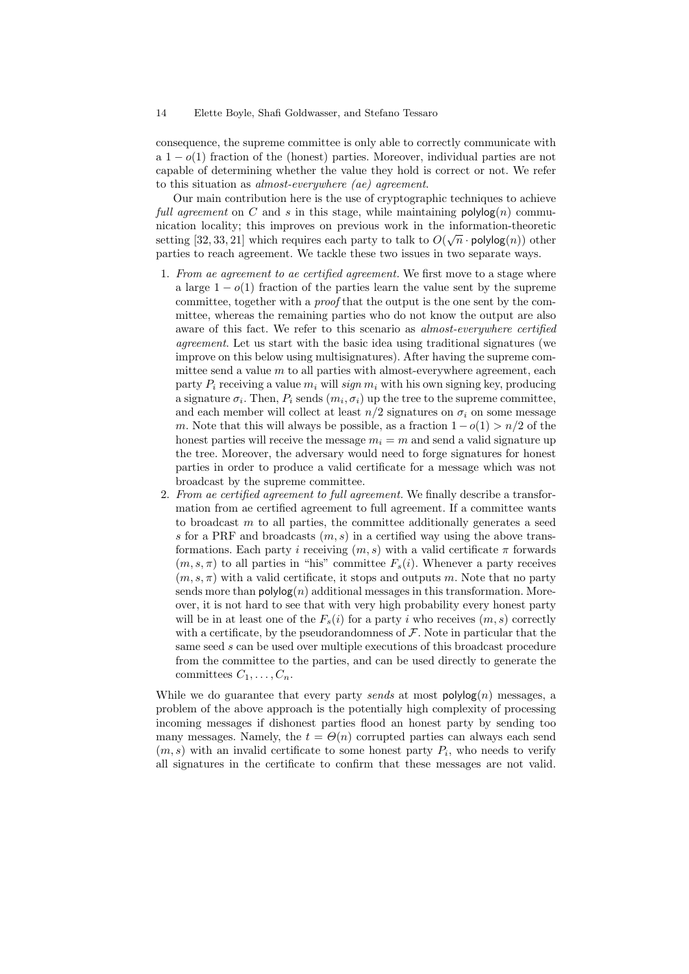consequence, the supreme committee is only able to correctly communicate with  $a_1 - o(1)$  fraction of the (honest) parties. Moreover, individual parties are not capable of determining whether the value they hold is correct or not. We refer to this situation as almost-everywhere (ae) agreement.

Our main contribution here is the use of cryptographic techniques to achieve full agreement on C and s in this stage, while maintaining  $polylog(n)$  communication locality; this improves on previous work in the information-theoretic  $\sim$ setting [32, 33, 21] which requires each party to talk to  $O(\sqrt{n} \cdot \text{polylog}(n))$  other parties to reach agreement. We tackle these two issues in two separate ways.

- 1. From ae agreement to ae certified agreement. We first move to a stage where a large  $1 - o(1)$  fraction of the parties learn the value sent by the supreme committee, together with a proof that the output is the one sent by the committee, whereas the remaining parties who do not know the output are also aware of this fact. We refer to this scenario as *almost-everywhere certified* agreement. Let us start with the basic idea using traditional signatures (we improve on this below using multisignatures). After having the supreme committee send a value  $m$  to all parties with almost-everywhere agreement, each party  $P_i$  receiving a value  $m_i$  will sign  $m_i$  with his own signing key, producing a signature  $\sigma_i$ . Then,  $P_i$  sends  $(m_i, \sigma_i)$  up the tree to the supreme committee, and each member will collect at least  $n/2$  signatures on  $\sigma_i$  on some message m. Note that this will always be possible, as a fraction  $1-o(1) > n/2$  of the honest parties will receive the message  $m_i = m$  and send a valid signature up the tree. Moreover, the adversary would need to forge signatures for honest parties in order to produce a valid certificate for a message which was not broadcast by the supreme committee.
- 2. From ae certified agreement to full agreement. We finally describe a transformation from ae certified agreement to full agreement. If a committee wants to broadcast  $m$  to all parties, the committee additionally generates a seed s for a PRF and broadcasts  $(m, s)$  in a certified way using the above transformations. Each party i receiving  $(m, s)$  with a valid certificate  $\pi$  forwards  $(m, s, \pi)$  to all parties in "his" committee  $F_s(i)$ . Whenever a party receives  $(m, s, \pi)$  with a valid certificate, it stops and outputs m. Note that no party sends more than  $\mathsf{polylog}(n)$  additional messages in this transformation. Moreover, it is not hard to see that with very high probability every honest party will be in at least one of the  $F_s(i)$  for a party i who receives  $(m, s)$  correctly with a certificate, by the pseudorandomness of  $\mathcal F$ . Note in particular that the same seed s can be used over multiple executions of this broadcast procedure from the committee to the parties, and can be used directly to generate the committees  $C_1, \ldots, C_n$ .

While we do guarantee that every party sends at most  $\mathsf{polylog}(n)$  messages, a problem of the above approach is the potentially high complexity of processing incoming messages if dishonest parties flood an honest party by sending too many messages. Namely, the  $t = \Theta(n)$  corrupted parties can always each send  $(m, s)$  with an invalid certificate to some honest party  $P_i$ , who needs to verify all signatures in the certificate to confirm that these messages are not valid.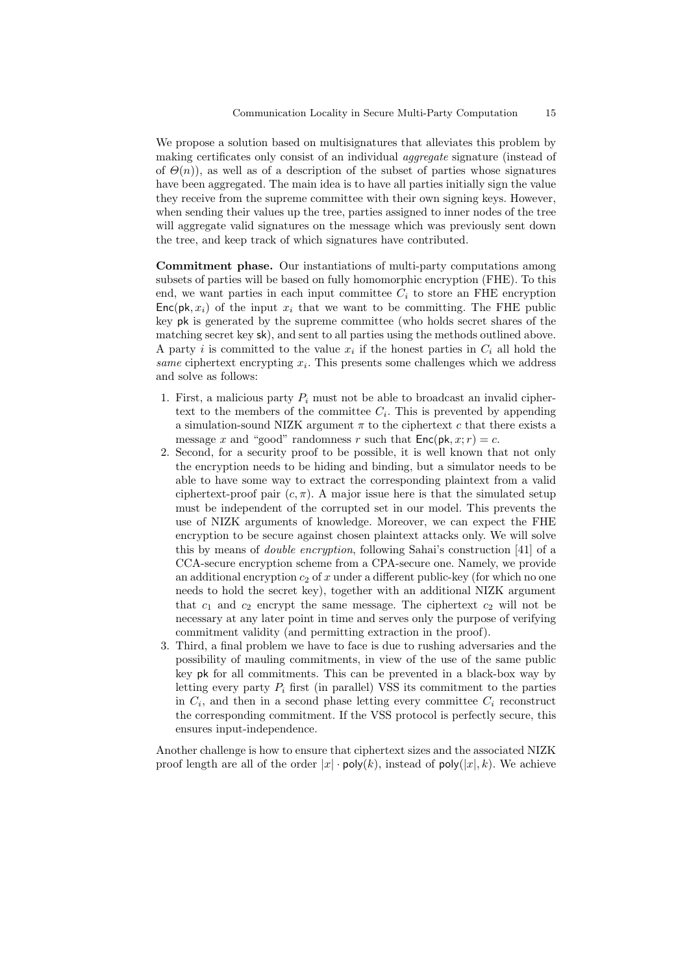We propose a solution based on multisignatures that alleviates this problem by making certificates only consist of an individual aggregate signature (instead of of  $\Theta(n)$ , as well as of a description of the subset of parties whose signatures have been aggregated. The main idea is to have all parties initially sign the value they receive from the supreme committee with their own signing keys. However, when sending their values up the tree, parties assigned to inner nodes of the tree will aggregate valid signatures on the message which was previously sent down the tree, and keep track of which signatures have contributed.

Commitment phase. Our instantiations of multi-party computations among subsets of parties will be based on fully homomorphic encryption (FHE). To this end, we want parties in each input committee  $C_i$  to store an FHE encryption  $Enc(\mathsf{pk}, x_i)$  of the input  $x_i$  that we want to be committing. The FHE public key pk is generated by the supreme committee (who holds secret shares of the matching secret key sk), and sent to all parties using the methods outlined above. A party *i* is committed to the value  $x_i$  if the honest parties in  $C_i$  all hold the same ciphertext encrypting  $x_i$ . This presents some challenges which we address and solve as follows:

- 1. First, a malicious party  $P_i$  must not be able to broadcast an invalid ciphertext to the members of the committee  $C_i$ . This is prevented by appending a simulation-sound NIZK argument  $\pi$  to the ciphertext c that there exists a message x and "good" randomness r such that  $Enc(\mathsf{pk}, x; r) = c$ .
- 2. Second, for a security proof to be possible, it is well known that not only the encryption needs to be hiding and binding, but a simulator needs to be able to have some way to extract the corresponding plaintext from a valid ciphertext-proof pair  $(c, \pi)$ . A major issue here is that the simulated setup must be independent of the corrupted set in our model. This prevents the use of NIZK arguments of knowledge. Moreover, we can expect the FHE encryption to be secure against chosen plaintext attacks only. We will solve this by means of double encryption, following Sahai's construction [41] of a CCA-secure encryption scheme from a CPA-secure one. Namely, we provide an additional encryption  $c_2$  of x under a different public-key (for which no one needs to hold the secret key), together with an additional NIZK argument that  $c_1$  and  $c_2$  encrypt the same message. The ciphertext  $c_2$  will not be necessary at any later point in time and serves only the purpose of verifying commitment validity (and permitting extraction in the proof).
- 3. Third, a final problem we have to face is due to rushing adversaries and the possibility of mauling commitments, in view of the use of the same public key pk for all commitments. This can be prevented in a black-box way by letting every party  $P_i$  first (in parallel) VSS its commitment to the parties in  $C_i$ , and then in a second phase letting every committee  $C_i$  reconstruct the corresponding commitment. If the VSS protocol is perfectly secure, this ensures input-independence.

Another challenge is how to ensure that ciphertext sizes and the associated NIZK proof length are all of the order  $|x| \cdot \text{poly}(k)$ , instead of  $\text{poly}(|x|, k)$ . We achieve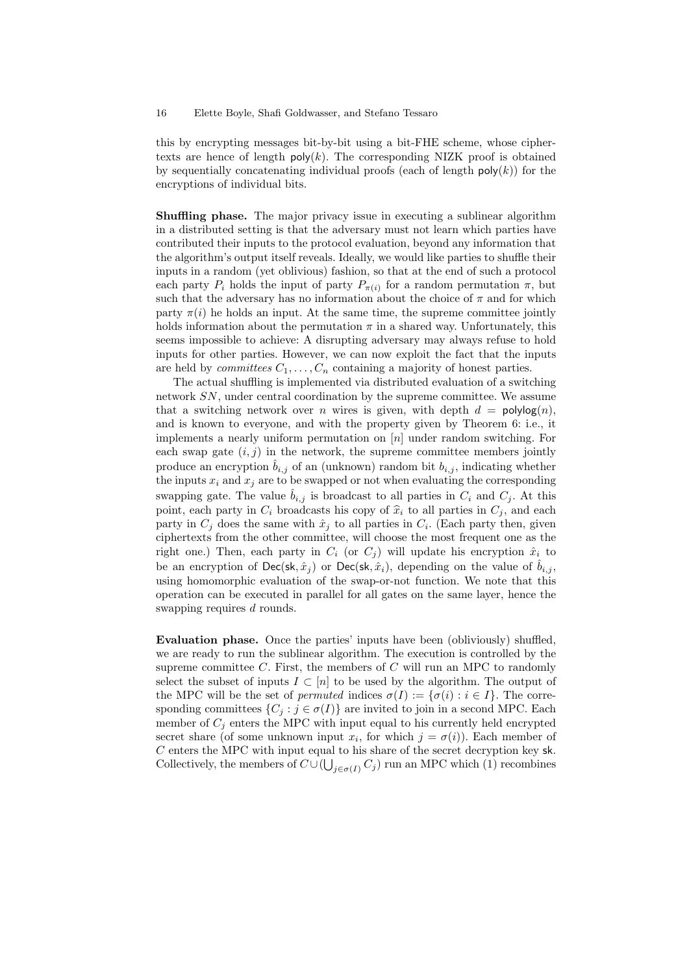this by encrypting messages bit-by-bit using a bit-FHE scheme, whose ciphertexts are hence of length  $poly(k)$ . The corresponding NIZK proof is obtained by sequentially concatenating individual proofs (each of length  $poly(k)$ ) for the encryptions of individual bits.

Shuffling phase. The major privacy issue in executing a sublinear algorithm in a distributed setting is that the adversary must not learn which parties have contributed their inputs to the protocol evaluation, beyond any information that the algorithm's output itself reveals. Ideally, we would like parties to shuffle their inputs in a random (yet oblivious) fashion, so that at the end of such a protocol each party  $P_i$  holds the input of party  $P_{\pi(i)}$  for a random permutation  $\pi$ , but such that the adversary has no information about the choice of  $\pi$  and for which party  $\pi(i)$  he holds an input. At the same time, the supreme committee jointly holds information about the permutation  $\pi$  in a shared way. Unfortunately, this seems impossible to achieve: A disrupting adversary may always refuse to hold inputs for other parties. However, we can now exploit the fact that the inputs are held by *committees*  $C_1, \ldots, C_n$  containing a majority of honest parties.

The actual shuffling is implemented via distributed evaluation of a switching network SN, under central coordination by the supreme committee. We assume that a switching network over *n* wires is given, with depth  $d = \text{polylog}(n)$ , and is known to everyone, and with the property given by Theorem 6: i.e., it implements a nearly uniform permutation on [n] under random switching. For each swap gate  $(i, j)$  in the network, the supreme committee members jointly produce an encryption  $b_{i,j}$  of an (unknown) random bit  $b_{i,j}$ , indicating whether the inputs  $x_i$  and  $x_j$  are to be swapped or not when evaluating the corresponding swapping gate. The value  $b_{i,j}$  is broadcast to all parties in  $C_i$  and  $C_j$ . At this point, each party in  $C_i$  broadcasts his copy of  $\hat{x}_i$  to all parties in  $C_j$ , and each party in  $C_j$  does the same with  $\hat{x}_j$  to all parties in  $C_i$ . (Each party then, given ciphertexts from the other committee, will choose the most frequent one as the right one.) Then, each party in  $C_i$  (or  $C_j$ ) will update his encryption  $\hat{x}_i$  to be an encryption of  $\mathsf{Dec}(\mathsf{sk}, \hat{x}_i)$  or  $\mathsf{Dec}(\mathsf{sk}, \hat{x}_i)$ , depending on the value of  $b_{i,i}$ , using homomorphic evaluation of the swap-or-not function. We note that this operation can be executed in parallel for all gates on the same layer, hence the swapping requires d rounds.

Evaluation phase. Once the parties' inputs have been (obliviously) shuffled, we are ready to run the sublinear algorithm. The execution is controlled by the supreme committee  $C$ . First, the members of  $C$  will run an MPC to randomly select the subset of inputs  $I \subset [n]$  to be used by the algorithm. The output of the MPC will be the set of *permuted* indices  $\sigma(I) := {\sigma(i) : i \in I}$ . The corresponding committees  $\{C_i : j \in \sigma(I)\}\$ are invited to join in a second MPC. Each member of  $C_i$  enters the MPC with input equal to his currently held encrypted secret share (of some unknown input  $x_i$ , for which  $j = \sigma(i)$ ). Each member of C enters the MPC with input equal to his share of the secret decryption key sk. Collectively, the members of  $C \cup (\bigcup_{j \in \sigma(I)} C_j)$  run an MPC which (1) recombines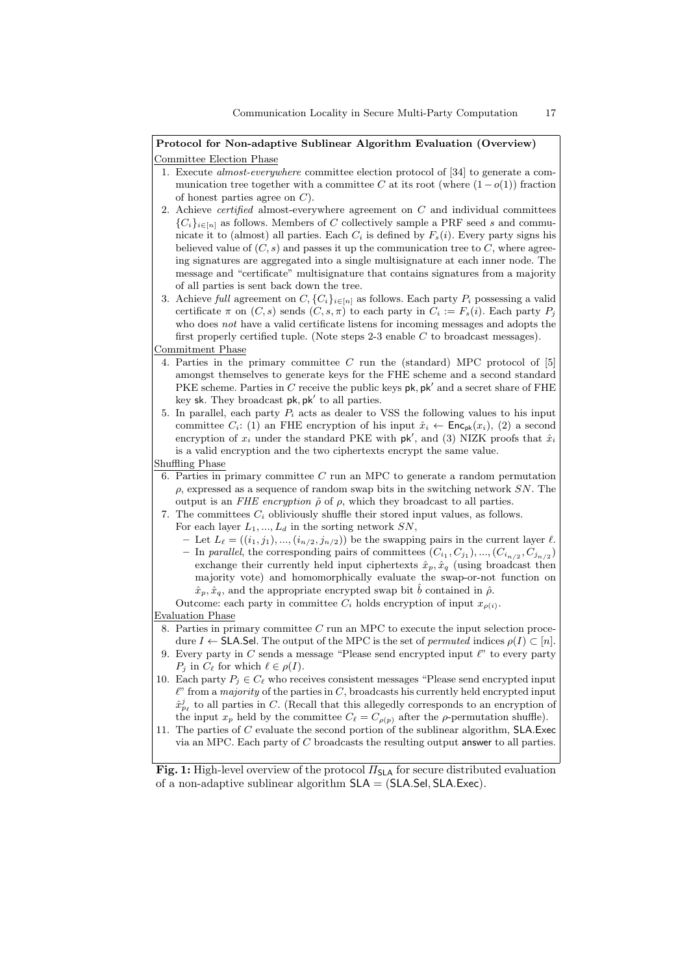Protocol for Non-adaptive Sublinear Algorithm Evaluation (Overview) Committee Election Phase

- 1. Execute almost-everywhere committee election protocol of [34] to generate a communication tree together with a committee C at its root (where  $(1-o(1))$ ) fraction of honest parties agree on C).
- 2. Achieve *certified* almost-everywhere agreement on  $C$  and individual committees  ${C_i}_{i \in [n]}$  as follows. Members of C collectively sample a PRF seed s and communicate it to (almost) all parties. Each  $C_i$  is defined by  $F_s(i)$ . Every party signs his believed value of  $(C, s)$  and passes it up the communication tree to C, where agreeing signatures are aggregated into a single multisignature at each inner node. The message and "certificate" multisignature that contains signatures from a majority of all parties is sent back down the tree.
- 3. Achieve full agreement on  $C, \{C_i\}_{i\in[n]}$  as follows. Each party  $P_i$  possessing a valid certificate  $\pi$  on  $(C, s)$  sends  $(C, s, \pi)$  to each party in  $C_i := F_s(i)$ . Each party  $P_i$ who does *not* have a valid certificate listens for incoming messages and adopts the first properly certified tuple. (Note steps  $2-3$  enable  $C$  to broadcast messages). Commitment Phase
- 4. Parties in the primary committee C run the (standard) MPC protocol of [5] amongst themselves to generate keys for the FHE scheme and a second standard PKE scheme. Parties in C receive the public keys  $pk, pk'$  and a secret share of FHE key sk. They broadcast pk, pk' to all parties.
- 5. In parallel, each party  $P_i$  acts as dealer to VSS the following values to his input committee  $C_i$ : (1) an FHE encryption of his input  $\hat{x}_i \leftarrow \mathsf{Enc}_{\mathsf{nk}}(x_i)$ , (2) a second encryption of  $x_i$  under the standard PKE with  $pk'$ , and (3) NIZK proofs that  $\hat{x}_i$ is a valid encryption and the two ciphertexts encrypt the same value.

### Shuffling Phase

- 6. Parties in primary committee  $C$  run an MPC to generate a random permutation  $\rho$ , expressed as a sequence of random swap bits in the switching network  $SN$ . The output is an FHE encryption  $\hat{\rho}$  of  $\rho$ , which they broadcast to all parties.
- 7. The committees  $C_i$  obliviously shuffle their stored input values, as follows.
	- For each layer  $L_1, ..., L_d$  in the sorting network  $SN$ ,
	- Let  $L_\ell = ((i_1, j_1), ..., (i_{n/2}, j_{n/2}))$  be the swapping pairs in the current layer  $\ell$ . - In parallel, the corresponding pairs of committees  $(C_{i_1}, C_{j_1}), ..., (C_{i_{n/2}}, C_{j_{n/2}})$ exchange their currently held input ciphertexts  $\hat{x}_p, \hat{x}_q$  (using broadcast then majority vote) and homomorphically evaluate the swap-or-not function on  $\hat{x}_p, \hat{x}_q$ , and the appropriate encrypted swap bit  $\hat{b}$  contained in  $\hat{\rho}$ . Outcome: each party in committee  $C_i$  holds encryption of input  $x_{\rho(i)}$ .

## Evaluation Phase

- 8. Parties in primary committee C run an MPC to execute the input selection procedure I ← SLA.Sel. The output of the MPC is the set of permuted indices  $\rho(I) \subset [n]$ .
- Every party in  $C$  sends a message "Please send encrypted input  $\ell$ " to every party  $P_i$  in  $C_\ell$  for which  $\ell \in \rho(I)$ .
- 10. Each party  $P_i \in C_\ell$  who receives consistent messages "Please send encrypted input  $\ell$ " from a *majority* of the parties in C, broadcasts his currently held encrypted input  $\hat{x}_{p_\ell}^j$  to all parties in C. (Recall that this allegedly corresponds to an encryption of the input  $x_p$  held by the committee  $C_\ell = C_{\rho(p)}$  after the  $\rho$ -permutation shuffle).
- 11. The parties of C evaluate the second portion of the sublinear algorithm, SLA.Exec via an MPC. Each party of  $C$  broadcasts the resulting output answer to all parties.

Fig. 1: High-level overview of the protocol  $\Pi_{SLA}$  for secure distributed evaluation of a non-adaptive sublinear algorithm  $SLA = (SLA. Sel, SLA. E \times ec)$ .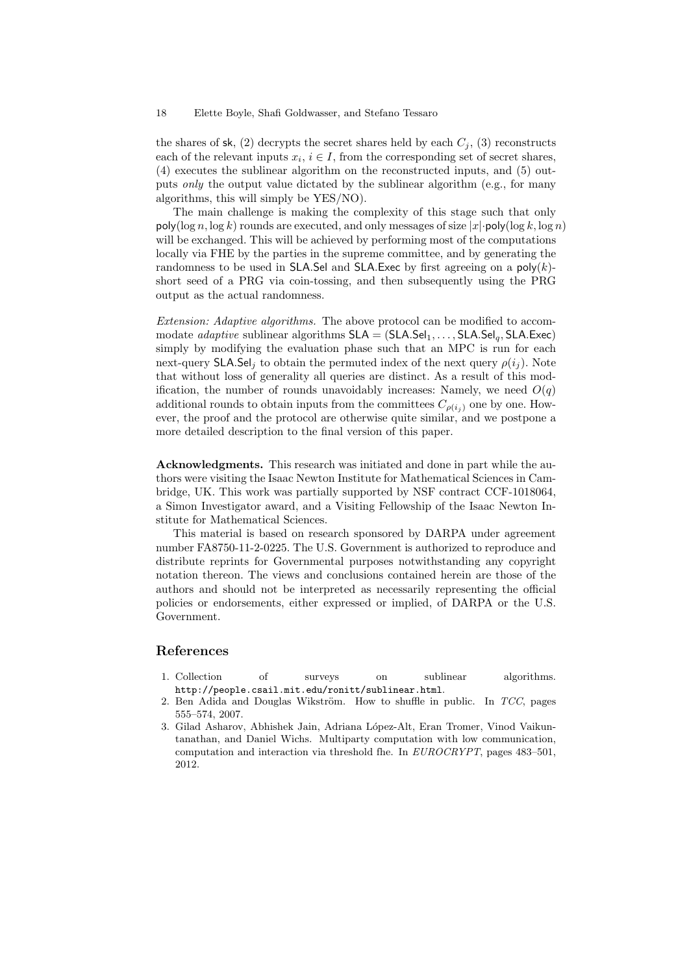the shares of sk, (2) decrypts the secret shares held by each  $C_j$ , (3) reconstructs each of the relevant inputs  $x_i, i \in I$ , from the corresponding set of secret shares, (4) executes the sublinear algorithm on the reconstructed inputs, and (5) outputs only the output value dictated by the sublinear algorithm (e.g., for many algorithms, this will simply be YES/NO).

The main challenge is making the complexity of this stage such that only poly(log n, log k) rounds are executed, and only messages of size  $|x|$ -poly(log k, log n) will be exchanged. This will be achieved by performing most of the computations locally via FHE by the parties in the supreme committee, and by generating the randomness to be used in SLA.Sel and SLA.Exec by first agreeing on a  $poly(k)$ short seed of a PRG via coin-tossing, and then subsequently using the PRG output as the actual randomness.

Extension: Adaptive algorithms. The above protocol can be modified to accommodate *adaptive* sublinear algorithms  $SLA = (SLA.Sel<sub>1</sub>, ..., SLA.Sel<sub>q</sub>, SLA.Exec)$ simply by modifying the evaluation phase such that an MPC is run for each next-query  $SLA.Sel_i$  to obtain the permuted index of the next query  $\rho(i_i)$ . Note that without loss of generality all queries are distinct. As a result of this modification, the number of rounds unavoidably increases: Namely, we need  $O(q)$ additional rounds to obtain inputs from the committees  $C_{\rho(i_j)}$  one by one. However, the proof and the protocol are otherwise quite similar, and we postpone a more detailed description to the final version of this paper.

Acknowledgments. This research was initiated and done in part while the authors were visiting the Isaac Newton Institute for Mathematical Sciences in Cambridge, UK. This work was partially supported by NSF contract CCF-1018064, a Simon Investigator award, and a Visiting Fellowship of the Isaac Newton Institute for Mathematical Sciences.

This material is based on research sponsored by DARPA under agreement number FA8750-11-2-0225. The U.S. Government is authorized to reproduce and distribute reprints for Governmental purposes notwithstanding any copyright notation thereon. The views and conclusions contained herein are those of the authors and should not be interpreted as necessarily representing the official policies or endorsements, either expressed or implied, of DARPA or the U.S. Government.

## References

- 1. Collection of surveys on sublinear algorithms. http://people.csail.mit.edu/ronitt/sublinear.html.
- 2. Ben Adida and Douglas Wikström. How to shuffle in public. In  $TCC$ , pages 555–574, 2007.
- 3. Gilad Asharov, Abhishek Jain, Adriana López-Alt, Eran Tromer, Vinod Vaikuntanathan, and Daniel Wichs. Multiparty computation with low communication, computation and interaction via threshold fhe. In EUROCRYPT, pages 483–501, 2012.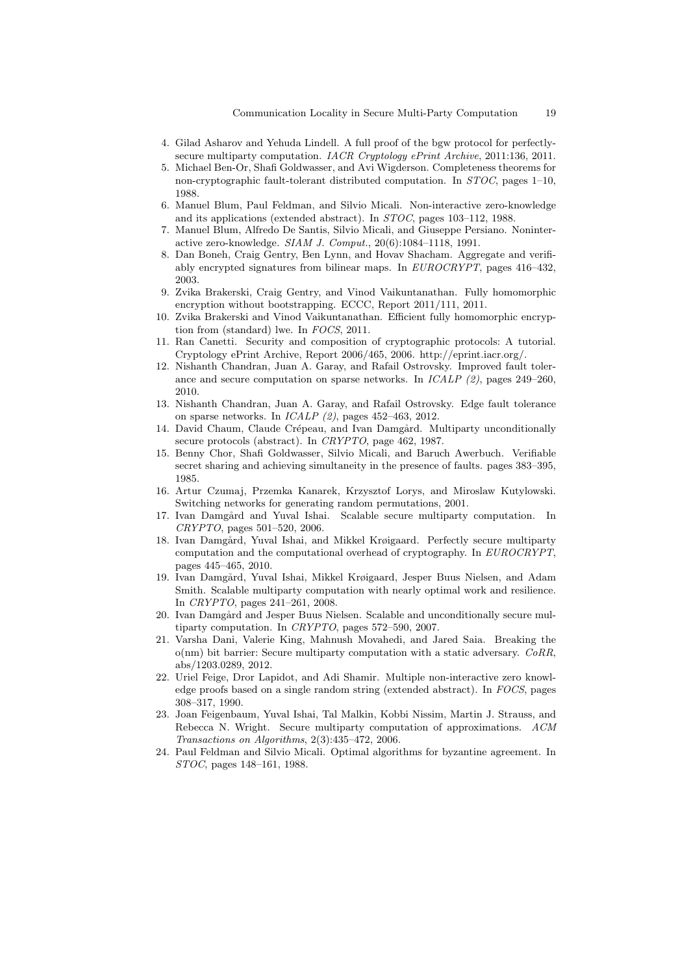- 4. Gilad Asharov and Yehuda Lindell. A full proof of the bgw protocol for perfectlysecure multiparty computation. IACR Cryptology ePrint Archive, 2011:136, 2011.
- 5. Michael Ben-Or, Shafi Goldwasser, and Avi Wigderson. Completeness theorems for non-cryptographic fault-tolerant distributed computation. In STOC, pages 1–10, 1988.
- 6. Manuel Blum, Paul Feldman, and Silvio Micali. Non-interactive zero-knowledge and its applications (extended abstract). In STOC, pages 103–112, 1988.
- 7. Manuel Blum, Alfredo De Santis, Silvio Micali, and Giuseppe Persiano. Noninteractive zero-knowledge. SIAM J. Comput., 20(6):1084–1118, 1991.
- 8. Dan Boneh, Craig Gentry, Ben Lynn, and Hovav Shacham. Aggregate and verifiably encrypted signatures from bilinear maps. In EUROCRYPT, pages 416–432, 2003.
- 9. Zvika Brakerski, Craig Gentry, and Vinod Vaikuntanathan. Fully homomorphic encryption without bootstrapping. ECCC, Report 2011/111, 2011.
- 10. Zvika Brakerski and Vinod Vaikuntanathan. Efficient fully homomorphic encryption from (standard) lwe. In FOCS, 2011.
- 11. Ran Canetti. Security and composition of cryptographic protocols: A tutorial. Cryptology ePrint Archive, Report 2006/465, 2006. http://eprint.iacr.org/.
- 12. Nishanth Chandran, Juan A. Garay, and Rafail Ostrovsky. Improved fault tolerance and secure computation on sparse networks. In  $ICALP$  (2), pages 249–260, 2010.
- 13. Nishanth Chandran, Juan A. Garay, and Rafail Ostrovsky. Edge fault tolerance on sparse networks. In ICALP (2), pages 452–463, 2012.
- 14. David Chaum, Claude Crépeau, and Ivan Damgård. Multiparty unconditionally secure protocols (abstract). In CRYPTO, page 462, 1987.
- 15. Benny Chor, Shafi Goldwasser, Silvio Micali, and Baruch Awerbuch. Verifiable secret sharing and achieving simultaneity in the presence of faults. pages 383–395, 1985.
- 16. Artur Czumaj, Przemka Kanarek, Krzysztof Lorys, and Miroslaw Kutylowski. Switching networks for generating random permutations, 2001.
- 17. Ivan Damgård and Yuval Ishai. Scalable secure multiparty computation. In CRYPTO, pages 501–520, 2006.
- 18. Ivan Damgård, Yuval Ishai, and Mikkel Krøigaard. Perfectly secure multiparty computation and the computational overhead of cryptography. In EUROCRYPT, pages 445–465, 2010.
- 19. Ivan Damgård, Yuval Ishai, Mikkel Krøigaard, Jesper Buus Nielsen, and Adam Smith. Scalable multiparty computation with nearly optimal work and resilience. In CRYPTO, pages 241–261, 2008.
- 20. Ivan Damgård and Jesper Buus Nielsen. Scalable and unconditionally secure multiparty computation. In CRYPTO, pages 572–590, 2007.
- 21. Varsha Dani, Valerie King, Mahnush Movahedi, and Jared Saia. Breaking the  $o(nm)$  bit barrier: Secure multiparty computation with a static adversary.  $CoRR$ , abs/1203.0289, 2012.
- 22. Uriel Feige, Dror Lapidot, and Adi Shamir. Multiple non-interactive zero knowledge proofs based on a single random string (extended abstract). In FOCS, pages 308–317, 1990.
- 23. Joan Feigenbaum, Yuval Ishai, Tal Malkin, Kobbi Nissim, Martin J. Strauss, and Rebecca N. Wright. Secure multiparty computation of approximations. ACM Transactions on Algorithms, 2(3):435–472, 2006.
- 24. Paul Feldman and Silvio Micali. Optimal algorithms for byzantine agreement. In STOC, pages 148–161, 1988.